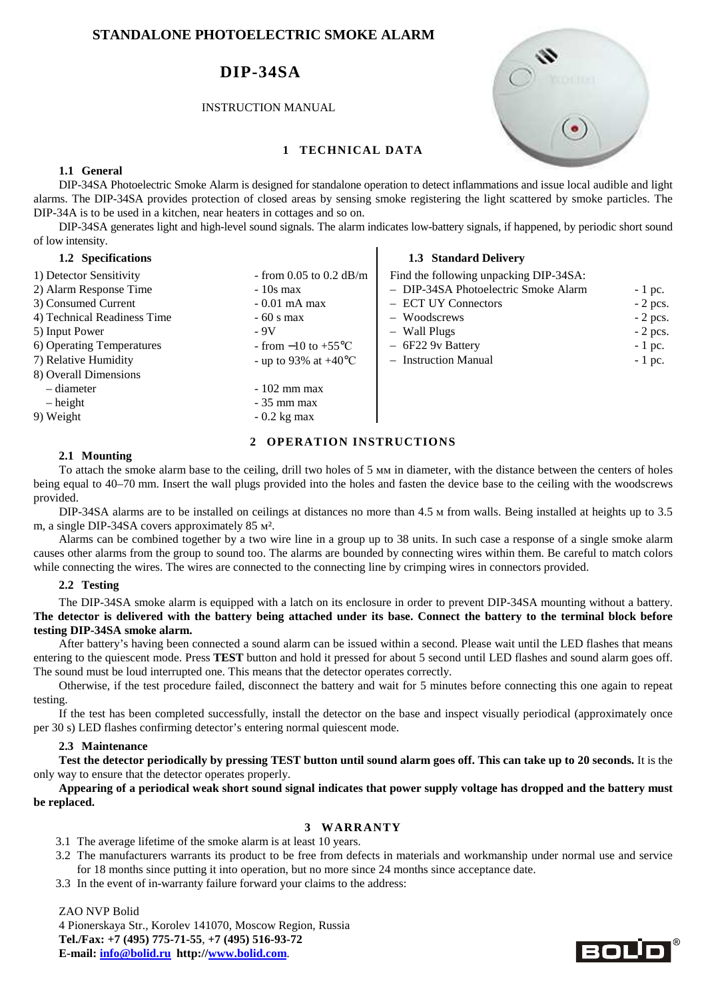### **STANDALONE PHOTOELECTRIC SMOKE ALARM**

## **DIP-34SA**

#### INSTRUCTION MANUAL



#### **1 TECHNICAL DATA**

#### **1.1 General**

DIP-34SA Photoelectric Smoke Alarm is designed for standalone operation to detect inflammations and issue local audible and light alarms. The DIP-34SA provides protection of closed areas by sensing smoke registering the light scattered by smoke particles. The DIP-34A is to be used in a kitchen, near heaters in cottages and so on.

DIP-34SA generates light and high-level sound signals. The alarm indicates low-battery signals, if happened, by periodic short sound of low intensity.

#### **1.2 Specifications 1.3 Standard Delivery**

| - from 0.05 to 0.2 $dB/m$<br>$-10s$ max<br>$-0.01$ mA max<br>$-60$ s max<br>$-9V$<br>- from $-10$ to $+55^{\circ}$ C | Find the following unpacking DIP-34SA:<br>- DIP-34SA Photoelectric Smoke Alarm<br>- ECT UY Connectors<br>Woodscrews<br>- Wall Plugs<br>$-6F229v$ Battery | $-1$ pc.<br>$-2$ pcs.<br>$-2$ pcs.<br>$-2$ pcs.<br>$-1$ pc. |
|----------------------------------------------------------------------------------------------------------------------|----------------------------------------------------------------------------------------------------------------------------------------------------------|-------------------------------------------------------------|
| - up to 93% at $+40^{\circ}$ C                                                                                       | - Instruction Manual                                                                                                                                     | $-1$ pc.                                                    |
| $-102$ mm max<br>$-35$ mm max<br>$-0.2$ kg max                                                                       |                                                                                                                                                          |                                                             |
|                                                                                                                      |                                                                                                                                                          |                                                             |

#### **2 OPERATION INSTRUCTIONS**

#### **2.1 Mounting**

To attach the smoke alarm base to the ceiling, drill two holes of 5 мм in diameter, with the distance between the centers of holes being equal to 40–70 mm. Insert the wall plugs provided into the holes and fasten the device base to the ceiling with the woodscrews provided.

DIP-34SA alarms are to be installed on ceilings at distances no more than 4.5 м from walls. Being installed at heights up to 3.5 m, a single DIP-34SA covers approximately 85 м².

Alarms can be combined together by a two wire line in a group up to 38 units. In such case a response of a single smoke alarm causes other alarms from the group to sound too. The alarms are bounded by connecting wires within them. Be careful to match colors while connecting the wires. The wires are connected to the connecting line by crimping wires in connectors provided.

#### **2.2 Testing**

The DIP-34SA smoke alarm is equipped with a latch on its enclosure in order to prevent DIP-34SA mounting without a battery. **The detector is delivered with the battery being attached under its base. Connect the battery to the terminal block before testing DIP-34SA smoke alarm.** 

After battery's having been connected a sound alarm can be issued within a second. Please wait until the LED flashes that means entering to the quiescent mode. Press **TEST** button and hold it pressed for about 5 second until LED flashes and sound alarm goes off. The sound must be loud interrupted one. This means that the detector operates correctly.

Otherwise, if the test procedure failed, disconnect the battery and wait for 5 minutes before connecting this one again to repeat testing.

If the test has been completed successfully, install the detector on the base and inspect visually periodical (approximately once per 30 s) LED flashes confirming detector's entering normal quiescent mode.

#### **2.3 Maintenance**

**Test the detector periodically by pressing TEST button until sound alarm goes off. This can take up to 20 seconds.** It is the only way to ensure that the detector operates properly.

**Appearing of a periodical weak short sound signal indicates that power supply voltage has dropped and the battery must be replaced.** 

#### **3 WARRANTY**

3.1 The average lifetime of the smoke alarm is at least 10 years.

- 3.2 The manufacturers warrants its product to be free from defects in materials and workmanship under normal use and service for 18 months since putting it into operation, but no more since 24 months since acceptance date.
- 3.3 In the event of in-warranty failure forward your claims to the address:

ZAO NVP Bolid

4 Pionerskaya Str., Korolev 141070, Moscow Region, Russia **Tel./Fax: +7 (495) 775-71-55**, **+7 (495) 516-93-72 E-mail: info@bolid.ru http://www.bolid.com**.